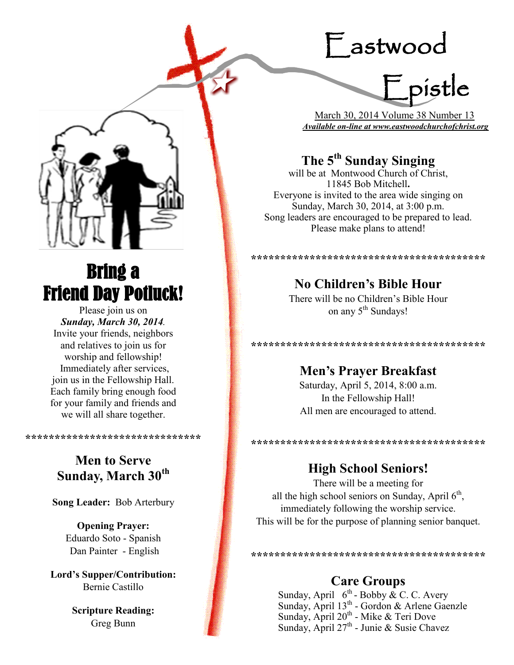# Eastwood

Epistle

 March 30, 2014 Volume 38 Number 13 *Available on-line at www.eastwoodchurchofchrist.org*

## **The 5th Sunday Singing**

will be at Montwood Church of Christ, 11845 Bob Mitchell**.**  Everyone is invited to the area wide singing on Sunday, March 30, 2014, at 3:00 p.m. Song leaders are encouraged to be prepared to lead. Please make plans to attend!

#### **\*\*\*\*\*\*\*\*\*\*\*\*\*\*\*\*\*\*\*\*\*\*\*\*\*\*\*\*\*\*\*\*\*\*\*\*\*\*\*\***

**No Children's Bible Hour** There will be no Children's Bible Hour

on any 5<sup>th</sup> Sundays!

**\*\*\*\*\*\*\*\*\*\*\*\*\*\*\*\*\*\*\*\*\*\*\*\*\*\*\*\*\*\*\*\*\*\*\*\*\*\*\*\***

**Men's Prayer Breakfast** Saturday, April 5, 2014, 8:00 a.m. In the Fellowship Hall! All men are encouraged to attend.

## **High School Seniors!**

**\*\*\*\*\*\*\*\*\*\*\*\*\*\*\*\*\*\*\*\*\*\*\*\*\*\*\*\*\*\*\*\*\*\*\*\*\*\*\*\***

There will be a meeting for all the high school seniors on Sunday, April  $6<sup>th</sup>$ , immediately following the worship service. This will be for the purpose of planning senior banquet.

**\*\*\*\*\*\*\*\*\*\*\*\*\*\*\*\*\*\*\*\*\*\*\*\*\*\*\*\*\*\*\*\*\*\*\*\*\*\*\*\***

## **Care Groups**

Sunday, April  $6^{th}$ - Bobby & C. C. Avery Sunday, April 13<sup>th</sup> - Gordon & Arlene Gaenzle Sunday, April  $20^{th}$  - Mike & Teri Dove Sunday, April  $27^{\text{th}}$  - Junie & Susie Chavez



## Bring a Friend Day Potluck!

Please join us on *Sunday, March 30, 2014.*  Invite your friends, neighbors and relatives to join us for worship and fellowship! Immediately after services, join us in the Fellowship Hall. Each family bring enough food for your family and friends and we will all share together.

## **Men to Serve Sunday, March 30th**

**\*\*\*\*\*\*\*\*\*\*\*\*\*\*\*\*\*\*\*\*\*\*\*\*\*\*\*\*\*\***

**Song Leader:** Bob Arterbury

**Opening Prayer:** Eduardo Soto - Spanish Dan Painter - English

**Lord's Supper/Contribution:**  Bernie Castillo

> **Scripture Reading:**  Greg Bunn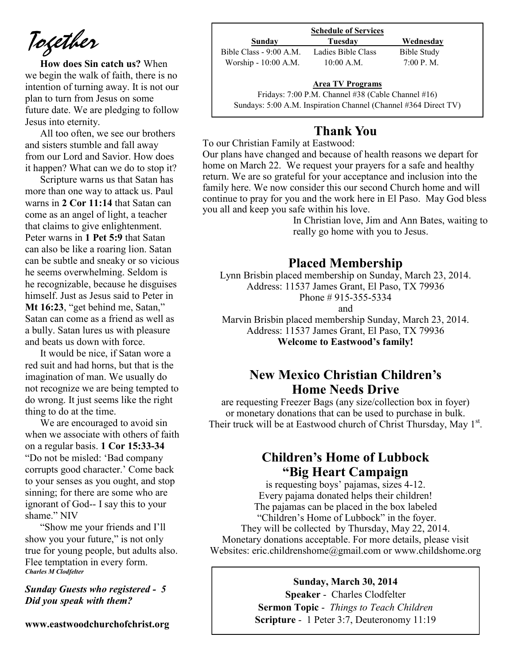*Together*

**How does Sin catch us?** When we begin the walk of faith, there is no intention of turning away. It is not our plan to turn from Jesus on some future date. We are pledging to follow Jesus into eternity.

All too often, we see our brothers and sisters stumble and fall away from our Lord and Savior. How does it happen? What can we do to stop it?

Scripture warns us that Satan has more than one way to attack us. Paul warns in **2 Cor 11:14** that Satan can come as an angel of light, a teacher that claims to give enlightenment. Peter warns in **1 Pet 5:9** that Satan can also be like a roaring lion. Satan can be subtle and sneaky or so vicious he seems overwhelming. Seldom is he recognizable, because he disguises himself. Just as Jesus said to Peter in **Mt 16:23**, "get behind me, Satan," Satan can come as a friend as well as a bully. Satan lures us with pleasure and beats us down with force.

It would be nice, if Satan wore a red suit and had horns, but that is the imagination of man. We usually do not recognize we are being tempted to do wrong. It just seems like the right thing to do at the time.

We are encouraged to avoid sin when we associate with others of faith on a regular basis. **1 Cor 15:33-34** "Do not be misled: 'Bad company corrupts good character.' Come back to your senses as you ought, and stop sinning; for there are some who are ignorant of God-- I say this to your shame." NIV

"Show me your friends and I'll show you your future," is not only true for young people, but adults also. Flee temptation in every form. *Charles M Clodfelter*

#### *Sunday Guests who registered - 5 Did you speak with them?*

**www.eastwoodchurchofchrist.org**

|                         | <b>Schedule of Services</b> |             |
|-------------------------|-----------------------------|-------------|
| Sunday                  | Tuesdav                     | Wednesday   |
| Bible Class - 9:00 A.M. | Ladies Bible Class          | Bible Study |
| Worship - 10:00 A.M.    | $10:00$ A.M.                | 7:00 P. M.  |

#### **Area TV Programs**

Area TV Programs<br>Fridays: 7:00 P.M. Channel #38 (Cable Channel #16) Sundays: 5:00 A.M. Inspiration Channel (Channel #364 Direct TV)

## **Thank You**

To our Christian Family at Eastwood:

Our plans have changed and because of health reasons we depart for home on March 22. We request your prayers for a safe and healthy return. We are so grateful for your acceptance and inclusion into the family here. We now consider this our second Church home and will continue to pray for you and the work here in El Paso. May God bless you all and keep you safe within his love.

In Christian love, Jim and Ann Bates, waiting to really go home with you to Jesus.

#### **Placed Membership**

Lynn Brisbin placed membership on Sunday, March 23, 2014. Address: 11537 James Grant, El Paso, TX 79936 Phone # 915-355-5334

and

Marvin Brisbin placed membership Sunday, March 23, 2014. Address: 11537 James Grant, El Paso, TX 79936 **Welcome to Eastwood's family!**

## **New Mexico Christian Children's Home Needs Drive**

are requesting Freezer Bags (any size/collection box in foyer) or monetary donations that can be used to purchase in bulk. Their truck will be at Eastwood church of Christ Thursday, May  $1^{st}$ .

## **Children's Home of Lubbock "Big Heart Campaign**

is requesting boys' pajamas, sizes 4-12. Every pajama donated helps their children! The pajamas can be placed in the box labeled "Children's Home of Lubbock" in the foyer. They will be collected by Thursday, May 22, 2014. Monetary donations acceptable. For more details, please visit Websites: eric.childrenshome@gmail.com or www.childshome.org

#### **Sunday, March 30, 2014**

**Speaker** - Charles Clodfelter **Sermon Topic** - *Things to Teach Children*  **Scripture** - 1 Peter 3:7, Deuteronomy 11:19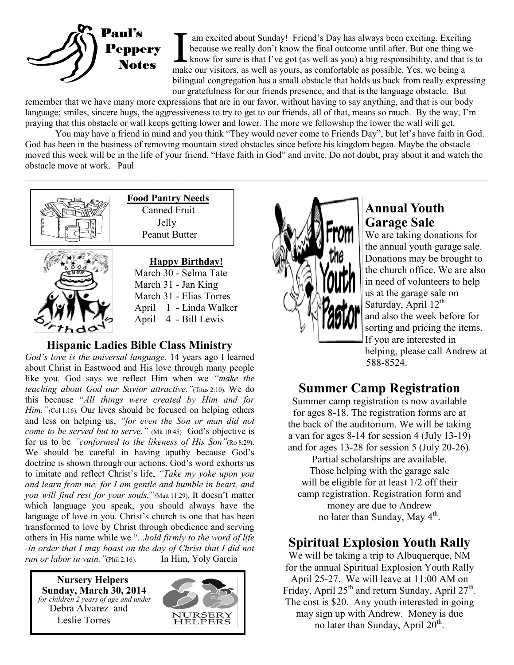

Imake our visitors, as well as yours, as comfortable as possible. Yes, we being a link our visitors, as well as yours, as comfortable as possible. Yes, we being a am excited about Sunday! Friend's Day has always been exciting. Exciting because we really don't know the final outcome until after. But one thing we know for sure is that I've got (as well as you) a big responsibility, and that is to bilingual congregation has a small obstacle that holds us back from really expressing our gratefulness for our friends presence, and that is the language obstacle. But

remember that we have many more expressions that are in our favor, without having to say anything, and that is our body language; smiles, sincere hugs, the aggressiveness to try to get to our friends, all of that, means so much. By the way, I'm praying that this obstacle or wall keeps getting lower and lower. The more we fellowship the lower the wall will get.

You may have a friend in mind and you think "They would never come to Friends Day", but let's have faith in God. God has been in the business of removing mountain sized obstacles since before his kingdom began. Maybe the obstacle moved this week will be in the life of your friend. "Have faith in God" and invite. Do not doubt, pray about it and watch the obstacle move at work. Paul  $\mathcal{L}_\mathcal{L} = \{ \mathcal{L}_\mathcal{L} = \{ \mathcal{L}_\mathcal{L} = \{ \mathcal{L}_\mathcal{L} = \{ \mathcal{L}_\mathcal{L} = \{ \mathcal{L}_\mathcal{L} = \{ \mathcal{L}_\mathcal{L} = \{ \mathcal{L}_\mathcal{L} = \{ \mathcal{L}_\mathcal{L} = \{ \mathcal{L}_\mathcal{L} = \{ \mathcal{L}_\mathcal{L} = \{ \mathcal{L}_\mathcal{L} = \{ \mathcal{L}_\mathcal{L} = \{ \mathcal{L}_\mathcal{L} = \{ \mathcal{L}_\mathcal{$ 



 **Food Pantry Needs** Canned Fruit Jelly Peanut Butter

**Happy Birthday!** March 30 - Selma Tate March 31 - Jan King March 31 - Elias Torres April 1 - Linda Walker April 4 - Bill Lewis

## **Hispanic Ladies Bible Class Ministry**

*God's love is the universal language*. 14 years ago I learned about Christ in Eastwood and His love through many people like you. God says we reflect Him when we *"make the teaching about God our Savior attractive."*(Titus 2:10). We do this because "*All things were created by Him and for Him.* "*(*Col 1:16). Our lives should be focused on helping others and less on helping us, *"for even the Son or man did not come to be served but to serve."* (Mk 10:45) God's objective is for us to be *"conformed to the likeness of His Son"*(Ro 8:29). We should be careful in having apathy because God's doctrine is shown through our actions. God's word exhorts us to imitate and reflect Christ's life, *"Take my yoke upon you and learn from me, for I am gentle and humble in heart, and you will find rest for your souls.* "*(Matt 11:29)*. It doesn't matter which language you speak, you should always have the language of love in you. Christ's church is one that has been transformed to love by Christ through obedience and serving others in His name while we "...*hold firmly to the word of life -in order that I may boast on the day of Christ that I did not run or labor in vain."*(Phil 2:16). In Him, Yoly Garcia

 **Nursery Helpers Sunday, March 30, 2014**   *for children 2 years of age and under*  Debra Alvarez and Leslie Torres





## **Annual Youth Garage Sale**

We are taking donations for the annual youth garage sale. Donations may be brought to the church office. We are also in need of volunteers to help us at the garage sale on Saturday, April  $12<sup>th</sup>$ and also the week before for sorting and pricing the items. If you are interested in helping, please call Andrew at 588-8524.

## **Summer Camp Registration**

Summer camp registration is now available for ages 8-18. The registration forms are at the back of the auditorium. We will be taking a van for ages 8-14 for session 4 (July 13-19) and for ages 13-28 for session 5 (July 20-26).

Partial scholarships are available. Those helping with the garage sale will be eligible for at least  $1/2$  off their camp registration. Registration form and money are due to Andrew no later than Sunday, May 4<sup>th</sup>.

## **Spiritual Explosion Youth Rally**

We will be taking a trip to Albuquerque, NM for the annual Spiritual Explosion Youth Rally April 25-27. We will leave at 11:00 AM on Friday, April  $25<sup>th</sup>$  and return Sunday, April  $27<sup>th</sup>$ . The cost is \$20. Any youth interested in going may sign up with Andrew. Money is due no later than Sunday, April  $20<sup>th</sup>$ .